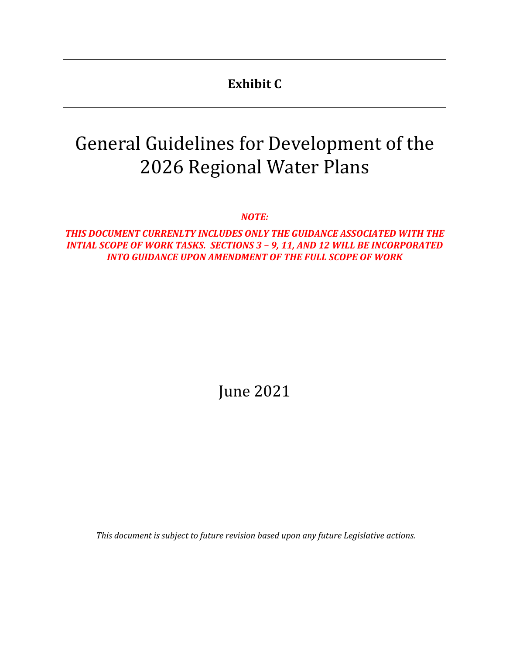# **Exhibit C**

# General Guidelines for Development of the 2026 Regional Water Plans

*NOTE:*

*THIS DOCUMENT CURRENLTY INCLUDES ONLY THE GUIDANCE ASSOCIATED WITH THE INTIAL SCOPE OF WORK TASKS. SECTIONS 3 – 9, 11, AND 12 WILL BE INCORPORATED INTO GUIDANCE UPON AMENDMENT OF THE FULL SCOPE OF WORK* 

June 2021

*This document is subject to future revision based upon any future Legislative actions.*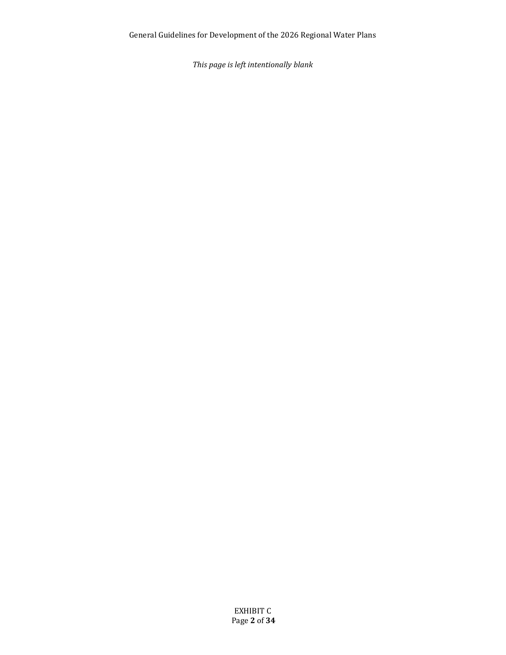*This page is left intentionally blank*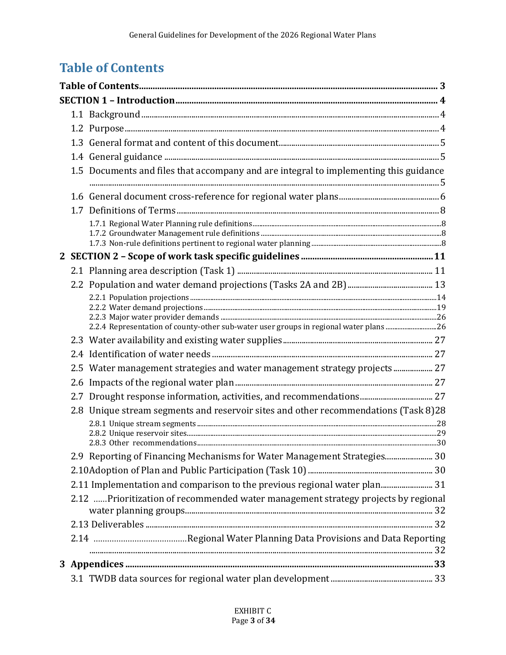# <span id="page-2-0"></span>**Table of Contents**

|  |     | 1.5 Documents and files that accompany and are integral to implementing this guidance |  |  |  |  |  |  |  |
|--|-----|---------------------------------------------------------------------------------------|--|--|--|--|--|--|--|
|  |     |                                                                                       |  |  |  |  |  |  |  |
|  |     |                                                                                       |  |  |  |  |  |  |  |
|  |     |                                                                                       |  |  |  |  |  |  |  |
|  |     |                                                                                       |  |  |  |  |  |  |  |
|  |     |                                                                                       |  |  |  |  |  |  |  |
|  |     |                                                                                       |  |  |  |  |  |  |  |
|  |     |                                                                                       |  |  |  |  |  |  |  |
|  |     |                                                                                       |  |  |  |  |  |  |  |
|  |     |                                                                                       |  |  |  |  |  |  |  |
|  |     | 2.2.4 Representation of county-other sub-water user groups in regional water plans26  |  |  |  |  |  |  |  |
|  |     |                                                                                       |  |  |  |  |  |  |  |
|  |     |                                                                                       |  |  |  |  |  |  |  |
|  |     | 2.5 Water management strategies and water management strategy projects 27             |  |  |  |  |  |  |  |
|  |     |                                                                                       |  |  |  |  |  |  |  |
|  |     | 2.7 Drought response information, activities, and recommendations 27                  |  |  |  |  |  |  |  |
|  | 2.8 | Unique stream segments and reservoir sites and other recommendations (Task 8)28       |  |  |  |  |  |  |  |
|  |     |                                                                                       |  |  |  |  |  |  |  |
|  |     |                                                                                       |  |  |  |  |  |  |  |
|  |     |                                                                                       |  |  |  |  |  |  |  |
|  |     | 2.9 Reporting of Financing Mechanisms for Water Management Strategies 30              |  |  |  |  |  |  |  |
|  |     |                                                                                       |  |  |  |  |  |  |  |
|  |     | 2.11 Implementation and comparison to the previous regional water plan 31             |  |  |  |  |  |  |  |
|  |     | 2.12 Prioritization of recommended water management strategy projects by regional     |  |  |  |  |  |  |  |
|  |     |                                                                                       |  |  |  |  |  |  |  |
|  |     |                                                                                       |  |  |  |  |  |  |  |
|  |     |                                                                                       |  |  |  |  |  |  |  |
|  |     |                                                                                       |  |  |  |  |  |  |  |
|  |     |                                                                                       |  |  |  |  |  |  |  |
|  |     |                                                                                       |  |  |  |  |  |  |  |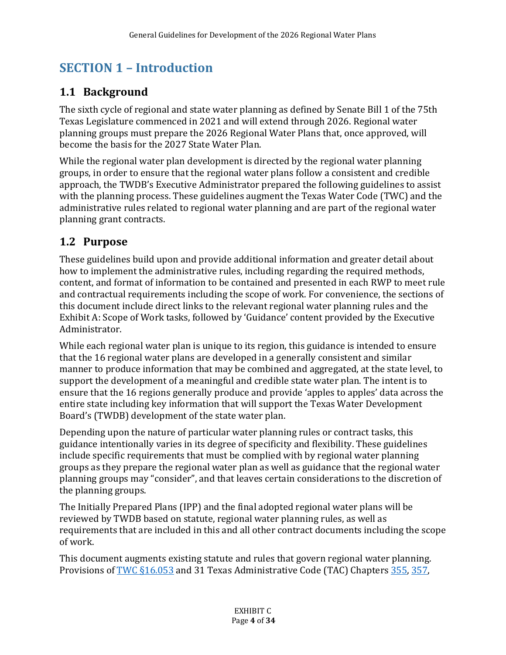# <span id="page-3-0"></span>**SECTION 1 – Introduction**

# <span id="page-3-1"></span>**1.1 Background**

The sixth cycle of regional and state water planning as defined by Senate Bill 1 of the 75th Texas Legislature commenced in 2021 and will extend through 2026. Regional water planning groups must prepare the 2026 Regional Water Plans that, once approved, will become the basis for the 2027 State Water Plan.

While the regional water plan development is directed by the regional water planning groups, in order to ensure that the regional water plans follow a consistent and credible approach, the TWDB's Executive Administrator prepared the following guidelines to assist with the planning process. These guidelines augment the Texas Water Code (TWC) and the administrative rules related to regional water planning and are part of the regional water planning grant contracts.

# <span id="page-3-2"></span>**1.2 Purpose**

These guidelines build upon and provide additional information and greater detail about how to implement the administrative rules, including regarding the required methods, content, and format of information to be contained and presented in each RWP to meet rule and contractual requirements including the scope of work. For convenience, the sections of this document include direct links to the relevant regional water planning rules and the Exhibit A: Scope of Work tasks, followed by 'Guidance' content provided by the Executive Administrator.

While each regional water plan is unique to its region, this guidance is intended to ensure that the 16 regional water plans are developed in a generally consistent and similar manner to produce information that may be combined and aggregated, at the state level, to support the development of a meaningful and credible state water plan. The intent is to ensure that the 16 regions generally produce and provide 'apples to apples' data across the entire state including key information that will support the Texas Water Development Board's (TWDB) development of the state water plan.

Depending upon the nature of particular water planning rules or contract tasks, this guidance intentionally varies in its degree of specificity and flexibility. These guidelines include specific requirements that must be complied with by regional water planning groups as they prepare the regional water plan as well as guidance that the regional water planning groups may "consider", and that leaves certain considerations to the discretion of the planning groups.

The Initially Prepared Plans (IPP) and the final adopted regional water plans will be reviewed by TWDB based on statute, regional water planning rules, as well as requirements that are included in this and all other contract documents including the scope of work.

This document augments existing statute and rules that govern regional water planning. Provisions of [TWC §16.053](https://statutes.capitol.texas.gov/Docs/WA/htm/WA.16.htm) and 31 Texas Administrative Code (TAC) Chapters [355,](https://texreg.sos.state.tx.us/public/readtac$ext.ViewTAC?tac_view=4&ti=31&pt=10&ch=355) [357,](https://texreg.sos.state.tx.us/public/readtac$ext.ViewTAC?tac_view=4&ti=31&pt=10&ch=357&rl=Y)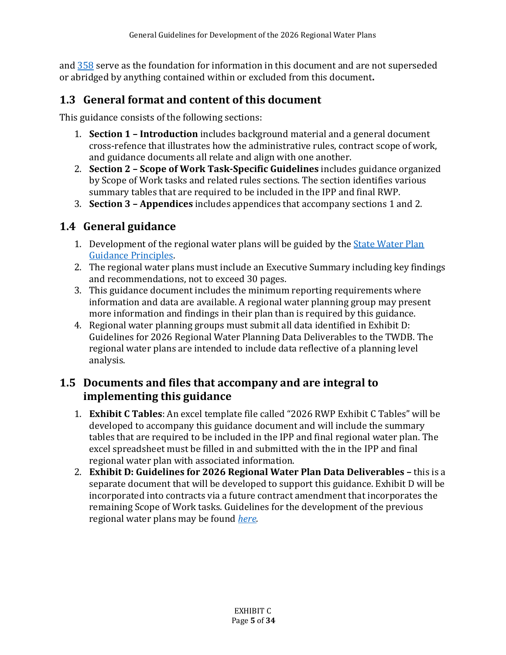and [358](https://texreg.sos.state.tx.us/public/readtac$ext.ViewTAC?tac_view=4&ti=31&pt=10&ch=358) serve as the foundation for information in this document and are not superseded or abridged by anything contained within or excluded from this document**.**

# <span id="page-4-0"></span>**1.3 General format and content of this document**

This guidance consists of the following sections:

- 1. **Section 1 – Introduction** includes background material and a general document cross-refence that illustrates how the administrative rules, contract scope of work, and guidance documents all relate and align with one another.
- 2. **Section 2 – Scope of Work Task-Specific Guidelines** includes guidance organized by Scope of Work tasks and related rules sections. The section identifies various summary tables that are required to be included in the IPP and final RWP.
- 3. **Section 3 – Appendices** includes appendices that accompany sections 1 and 2.

# <span id="page-4-1"></span>**1.4 General guidance**

- 1. Development of the regional water plans will be guided by the *State Water Plan* [Guidance Principles.](https://texreg.sos.state.tx.us/public/readtac$ext.TacPage?sl=R&app=9&p_dir=&p_rloc=&p_tloc=&p_ploc=&pg=1&p_tac=&ti=31&pt=10&ch=358&rl=3)
- 2. The regional water plans must include an Executive Summary including key findings and recommendations, not to exceed 30 pages.
- 3. This guidance document includes the minimum reporting requirements where information and data are available. A regional water planning group may present more information and findings in their plan than is required by this guidance.
- 4. Regional water planning groups must submit all data identified in Exhibit D: Guidelines for 2026 Regional Water Planning Data Deliverables to the TWDB. The regional water plans are intended to include data reflective of a planning level analysis.

# <span id="page-4-2"></span>**1.5 Documents and files that accompany and are integral to implementing this guidance**

- 1. **Exhibit C Tables**: An excel template file called "2026 RWP Exhibit C Tables" will be developed to accompany this guidance document and will include the summary tables that are required to be included in the IPP and final regional water plan. The excel spreadsheet must be filled in and submitted with the in the IPP and final regional water plan with associated information.
- 2. **Exhibit D: Guidelines for 2026 Regional Water Plan Data Deliverables –** this is a separate document that will be developed to support this guidance. Exhibit D will be incorporated into contracts via a future contract amendment that incorporates the remaining Scope of Work tasks. Guidelines for the development of the previous regional water plans may be found *[here.](http://www.twdb.texas.gov/waterplanning/rwp/planningdocu/2021/doc/current_docs/contract_docs/ExhibitD.pdf)*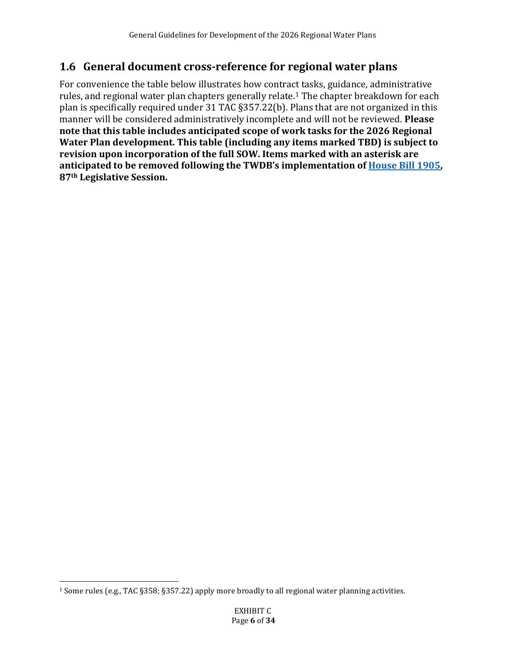# <span id="page-5-0"></span>**1.6 General document cross-reference for regional water plans**

For convenience the table below illustrates how contract tasks, guidance, administrative rules, and regional water plan chapters generally relate.[1](#page-5-1) The chapter breakdown for each plan is specifically required under 31 TAC §357.22(b). Plans that are not organized in this manner will be considered administratively incomplete and will not be reviewed. **Please note that this table includes anticipated scope of work tasks for the 2026 Regional Water Plan development. This table (including any items marked TBD) is subject to revision upon incorporation of the full SOW. Items marked with an asterisk are anticipated to be removed following the TWDB's implementation of [House Bill 1905,](https://capitol.texas.gov/tlodocs/87R/billtext/pdf/HB01905F.pdf#navpanes=0) 87th Legislative Session.** 

<span id="page-5-1"></span><sup>1</sup> Some rules (e.g., TAC §358; §357.22) apply more broadly to all regional water planning activities.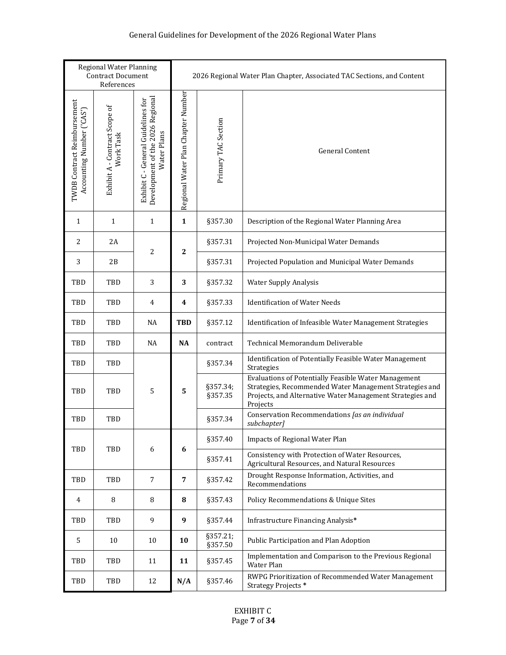#### General Guidelines for Development of the 2026 Regional Water Plans

| Regional Water Planning<br><b>Contract Document</b><br>References |                                            |                                                                                       | 2026 Regional Water Plan Chapter, Associated TAC Sections, and Content |                     |                                                                                                  |                     |                                                                                                                                                                                          |
|-------------------------------------------------------------------|--------------------------------------------|---------------------------------------------------------------------------------------|------------------------------------------------------------------------|---------------------|--------------------------------------------------------------------------------------------------|---------------------|------------------------------------------------------------------------------------------------------------------------------------------------------------------------------------------|
| <b>TWDB Contract Reimbursement</b><br>Accounting Number ('CAS')   | Exhibit A - Contract Scope of<br>Work Task | Development of the 2026 Regional<br>Exhibit C - General Guidelines for<br>Water Plans | Regional Water Plan Chapter Number                                     | Primary TAC Section | <b>General Content</b>                                                                           |                     |                                                                                                                                                                                          |
| $\mathbf 1$                                                       | 1                                          | $\mathbf{1}$                                                                          | $\mathbf{1}$                                                           | §357.30             | Description of the Regional Water Planning Area                                                  |                     |                                                                                                                                                                                          |
| 2<br>2A                                                           |                                            | $\overline{2}$                                                                        | 2                                                                      | §357.31             | Projected Non-Municipal Water Demands                                                            |                     |                                                                                                                                                                                          |
| 3                                                                 | 2B                                         |                                                                                       |                                                                        | §357.31             | Projected Population and Municipal Water Demands                                                 |                     |                                                                                                                                                                                          |
| TBD                                                               | TBD                                        | 3                                                                                     | 3                                                                      | §357.32             | <b>Water Supply Analysis</b>                                                                     |                     |                                                                                                                                                                                          |
| TBD                                                               | TBD                                        | $\overline{4}$                                                                        | 4                                                                      | §357.33             | <b>Identification of Water Needs</b>                                                             |                     |                                                                                                                                                                                          |
| TBD                                                               | TBD                                        | <b>NA</b>                                                                             | <b>TBD</b>                                                             | §357.12             | Identification of Infeasible Water Management Strategies                                         |                     |                                                                                                                                                                                          |
| TBD                                                               | TBD                                        | <b>NA</b>                                                                             | <b>NA</b>                                                              | contract            | Technical Memorandum Deliverable                                                                 |                     |                                                                                                                                                                                          |
| TBD                                                               | TBD                                        |                                                                                       |                                                                        | §357.34             | Identification of Potentially Feasible Water Management<br>Strategies                            |                     |                                                                                                                                                                                          |
| TBD                                                               | TBD                                        | 5                                                                                     |                                                                        |                     | $\overline{5}$                                                                                   | §357.34;<br>§357.35 | Evaluations of Potentially Feasible Water Management<br>Strategies, Recommended Water Management Strategies and<br>Projects, and Alternative Water Management Strategies and<br>Projects |
| TBD                                                               | TBD                                        |                                                                                       |                                                                        | §357.34             | Conservation Recommendations [as an individual<br>subchapter]                                    |                     |                                                                                                                                                                                          |
| TBD                                                               | TBD<br>6<br>6                              | §357.40                                                                               | <b>Impacts of Regional Water Plan</b>                                  |                     |                                                                                                  |                     |                                                                                                                                                                                          |
|                                                                   |                                            |                                                                                       |                                                                        | §357.41             | Consistency with Protection of Water Resources,<br>Agricultural Resources, and Natural Resources |                     |                                                                                                                                                                                          |
| TBD                                                               | TBD                                        | $\overline{7}$                                                                        | $\overline{7}$                                                         | §357.42             | Drought Response Information, Activities, and<br>Recommendations                                 |                     |                                                                                                                                                                                          |
| 4                                                                 | 8                                          | 8                                                                                     | 8                                                                      | §357.43             | Policy Recommendations & Unique Sites                                                            |                     |                                                                                                                                                                                          |
| TBD                                                               | TBD                                        | 9                                                                                     | 9                                                                      | §357.44             | Infrastructure Financing Analysis*                                                               |                     |                                                                                                                                                                                          |
| 5                                                                 | 10                                         | 10                                                                                    | 10                                                                     | §357.21;<br>§357.50 | Public Participation and Plan Adoption                                                           |                     |                                                                                                                                                                                          |
| TBD                                                               | TBD                                        | 11                                                                                    | 11                                                                     | §357.45             | Implementation and Comparison to the Previous Regional<br>Water Plan                             |                     |                                                                                                                                                                                          |
| TBD                                                               | TBD                                        | 12                                                                                    | N/A                                                                    | §357.46             | RWPG Prioritization of Recommended Water Management<br>Strategy Projects *                       |                     |                                                                                                                                                                                          |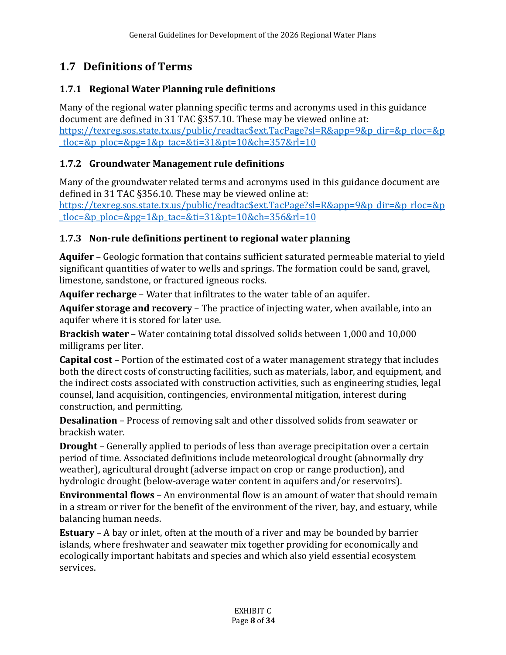# <span id="page-7-0"></span>**1.7 Definitions of Terms**

#### <span id="page-7-1"></span>**1.7.1 Regional Water Planning rule definitions**

Many of the regional water planning specific terms and acronyms used in this guidance document are defined in 31 TAC §357.10. These may be viewed online at: [https://texreg.sos.state.tx.us/public/readtac\\$ext.TacPage?sl=R&app=9&p\\_dir=&p\\_rloc=&p](https://texreg.sos.state.tx.us/public/readtac$ext.TacPage?sl=R&app=9&p_dir=&p_rloc=&p_tloc=&p_ploc=&pg=1&p_tac=&ti=31&pt=10&ch=357&rl=10)  $tloc=$ &p ploc=&pg=1&p tac=&ti=31&pt=10&ch=357&rl=10

#### <span id="page-7-2"></span>**1.7.2 Groundwater Management rule definitions**

Many of the groundwater related terms and acronyms used in this guidance document are defined in 31 TAC §356.10. These may be viewed online at: [https://texreg.sos.state.tx.us/public/readtac\\$ext.TacPage?sl=R&app=9&p\\_dir=&p\\_rloc=&p](https://texreg.sos.state.tx.us/public/readtac$ext.TacPage?sl=R&app=9&p_dir=&p_rloc=&p_tloc=&p_ploc=&pg=1&p_tac=&ti=31&pt=10&ch=356&rl=10)  $tloc=$ &p ploc=&pg=1&p tac=&ti=31&pt=10&ch=356&rl=10

#### <span id="page-7-3"></span>**1.7.3 Non-rule definitions pertinent to regional water planning**

**Aquifer** – Geologic formation that contains sufficient saturated permeable material to yield significant quantities of water to wells and springs. The formation could be sand, gravel, limestone, sandstone, or fractured igneous rocks.

**Aquifer recharge** – Water that infiltrates to the water table of an aquifer.

**Aquifer storage and recovery** – The practice of injecting water, when available, into an aquifer where it is stored for later use.

**Brackish water** – Water containing total dissolved solids between 1,000 and 10,000 milligrams per liter.

**Capital cost** – Portion of the estimated cost of a water management strategy that includes both the direct costs of constructing facilities, such as materials, labor, and equipment, and the indirect costs associated with construction activities, such as engineering studies, legal counsel, land acquisition, contingencies, environmental mitigation, interest during construction, and permitting.

**Desalination** – Process of removing salt and other dissolved solids from seawater or brackish water.

**Drought** – Generally applied to periods of less than average precipitation over a certain period of time. Associated definitions include meteorological drought (abnormally dry weather), agricultural drought (adverse impact on crop or range production), and hydrologic drought (below-average water content in aquifers and/or reservoirs).

**Environmental flows** – An environmental flow is an amount of water that should remain in a stream or river for the benefit of the environment of the river, bay, and estuary, while balancing human needs.

**Estuary** – A bay or inlet, often at the mouth of a river and may be bounded by barrier islands, where freshwater and seawater mix together providing for economically and ecologically important habitats and species and which also yield essential ecosystem services.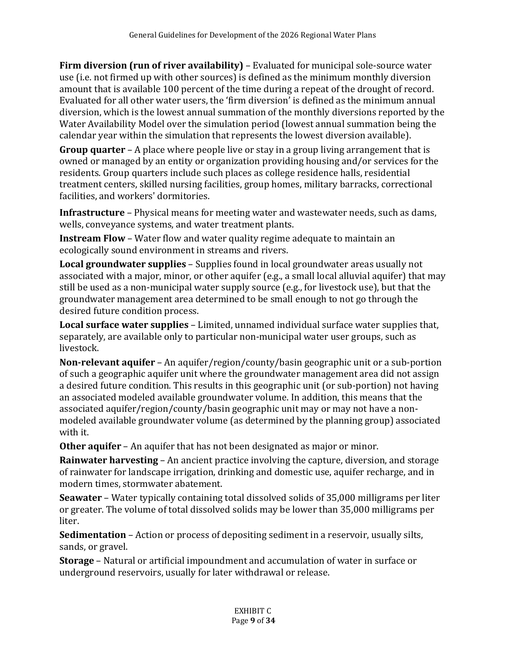**Firm diversion (run of river availability)** – Evaluated for municipal sole-source water use (i.e. not firmed up with other sources) is defined as the minimum monthly diversion amount that is available 100 percent of the time during a repeat of the drought of record. Evaluated for all other water users, the 'firm diversion' is defined as the minimum annual diversion, which is the lowest annual summation of the monthly diversions reported by the Water Availability Model over the simulation period (lowest annual summation being the calendar year within the simulation that represents the lowest diversion available).

**Group quarter** – A place where people live or stay in a group living arrangement that is owned or managed by an entity or organization providing housing and/or services for the residents. Group quarters include such places as college residence halls, residential treatment centers, skilled nursing facilities, group homes, military barracks, correctional facilities, and workers' dormitories.

**Infrastructure** – Physical means for meeting water and wastewater needs, such as dams, wells, conveyance systems, and water treatment plants.

**Instream Flow** – Water flow and water quality regime adequate to maintain an ecologically sound environment in streams and rivers.

**Local groundwater supplies** – Supplies found in local groundwater areas usually not associated with a major, minor, or other aquifer (e.g., a small local alluvial aquifer) that may still be used as a non-municipal water supply source (e.g., for livestock use), but that the groundwater management area determined to be small enough to not go through the desired future condition process.

**Local surface water supplies** – Limited, unnamed individual surface water supplies that, separately, are available only to particular non-municipal water user groups, such as livestock.

**Non-relevant aquifer** – An aquifer/region/county/basin geographic unit or a sub-portion of such a geographic aquifer unit where the groundwater management area did not assign a desired future condition. This results in this geographic unit (or sub-portion) not having an associated modeled available groundwater volume. In addition, this means that the associated aquifer/region/county/basin geographic unit may or may not have a nonmodeled available groundwater volume (as determined by the planning group) associated with it.

**Other aquifer** – An aquifer that has not been designated as major or minor.

**Rainwater harvesting** – An ancient practice involving the capture, diversion, and storage of rainwater for landscape irrigation, drinking and domestic use, aquifer recharge, and in modern times, stormwater abatement.

**Seawater** – Water typically containing total dissolved solids of 35,000 milligrams per liter or greater. The volume of total dissolved solids may be lower than 35,000 milligrams per liter.

**Sedimentation** – Action or process of depositing sediment in a reservoir, usually silts, sands, or gravel.

**Storage** – Natural or artificial impoundment and accumulation of water in surface or underground reservoirs, usually for later withdrawal or release.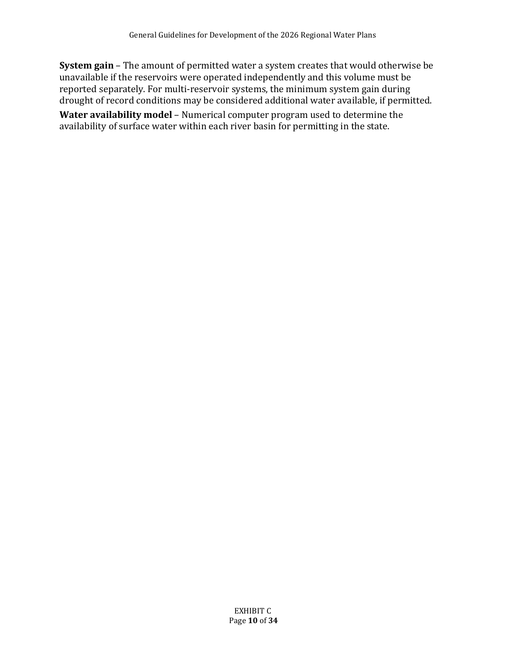**System gain** – The amount of permitted water a system creates that would otherwise be unavailable if the reservoirs were operated independently and this volume must be reported separately. For multi-reservoir systems, the minimum system gain during drought of record conditions may be considered additional water available, if permitted. **Water availability model** – Numerical computer program used to determine the availability of surface water within each river basin for permitting in the state.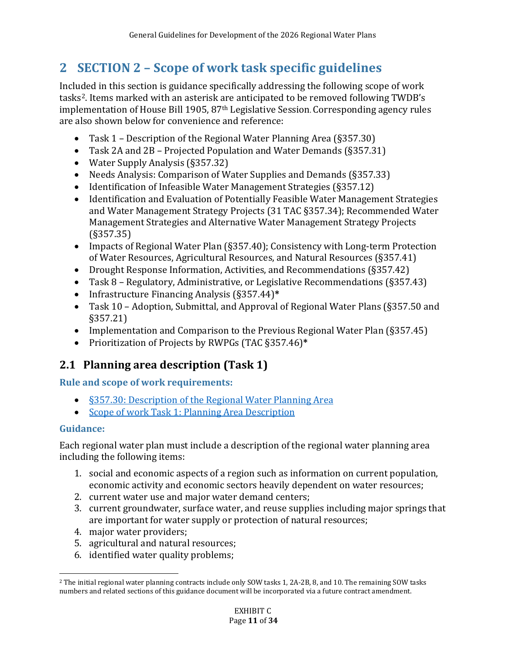# <span id="page-10-0"></span>**2 SECTION 2 – Scope of work task specific guidelines**

Included in this section is guidance specifically addressing the following scope of work tasks[2](#page-10-2). Items marked with an asterisk are anticipated to be removed following TWDB's implementation of House Bill 1905, 87<sup>th</sup> Legislative Session. Corresponding agency rules are also shown below for convenience and reference:

- Task 1 Description of the Regional Water Planning Area (§357.30)
- Task 2A and 2B Projected Population and Water Demands (§357.31)
- Water Supply Analysis (§357.32)
- Needs Analysis: Comparison of Water Supplies and Demands (§357.33)
- Identification of Infeasible Water Management Strategies (§357.12)
- Identification and Evaluation of Potentially Feasible Water Management Strategies and Water Management Strategy Projects (31 TAC §357.34); Recommended Water Management Strategies and Alternative Water Management Strategy Projects (§357.35)
- Impacts of Regional Water Plan (§357.40); Consistency with Long-term Protection of Water Resources, Agricultural Resources, and Natural Resources (§357.41)
- Drought Response Information, Activities, and Recommendations (§357.42)
- Task 8 Regulatory, Administrative, or Legislative Recommendations (§357.43)
- Infrastructure Financing Analysis (§357.44)**\***
- Task 10 Adoption, Submittal, and Approval of Regional Water Plans (§357.50 and §357.21)
- Implementation and Comparison to the Previous Regional Water Plan (§357.45)
- Prioritization of Projects by RWPGs (TAC §357.46)**\***

# <span id="page-10-1"></span>**2.1 Planning area description (Task 1)**

### **Rule and scope of work requirements:**

- [§357.30: Description of the Regional Water Planning Area](https://texreg.sos.state.tx.us/public/readtac$ext.TacPage?sl=R&app=9&p_dir=&p_rloc=&p_tloc=&p_ploc=&pg=1&p_tac=&ti=31&pt=10&ch=357&rl=30)
- Scope of work [Task 1: Planning Area Description](http://www.twdb.texas.gov/waterplanning/rwp/planningdocu/2026/projectdocs/InitialSOW_2026RWPs.pdf#page=4)

### **Guidance:**

Each regional water plan must include a description of the regional water planning area including the following items:

- 1. social and economic aspects of a region such as information on current population, economic activity and economic sectors heavily dependent on water resources;
- 2. current water use and major water demand centers;
- 3. current groundwater, surface water, and reuse supplies including major springs that are important for water supply or protection of natural resources;
- 4. major water providers;
- 5. agricultural and natural resources;
- 6. identified water quality problems;

<span id="page-10-2"></span><sup>2</sup> The initial regional water planning contracts include only SOW tasks 1, 2A-2B, 8, and 10. The remaining SOW tasks numbers and related sections of this guidance document will be incorporated via a future contract amendment.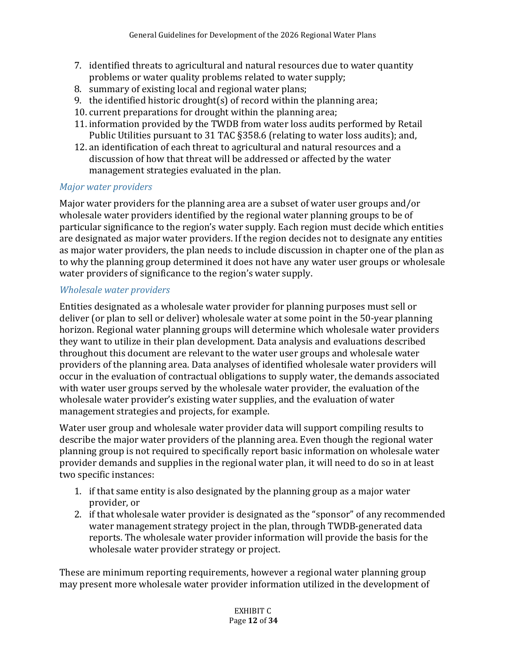- 7. identified threats to agricultural and natural resources due to water quantity problems or water quality problems related to water supply;
- 8. summary of existing local and regional water plans;
- 9. the identified historic drought(s) of record within the planning area;
- 10. current preparations for drought within the planning area;
- 11. information provided by the TWDB from water loss audits performed by Retail Public Utilities pursuant to 31 TAC §358.6 (relating to water loss audits); and,
- 12. an identification of each threat to agricultural and natural resources and a discussion of how that threat will be addressed or affected by the water management strategies evaluated in the plan.

#### *Major water providers*

Major water providers for the planning area are a subset of water user groups and/or wholesale water providers identified by the regional water planning groups to be of particular significance to the region's water supply. Each region must decide which entities are designated as major water providers. If the region decides not to designate any entities as major water providers, the plan needs to include discussion in chapter one of the plan as to why the planning group determined it does not have any water user groups or wholesale water providers of significance to the region's water supply.

#### *Wholesale water providers*

Entities designated as a wholesale water provider for planning purposes must sell or deliver (or plan to sell or deliver) wholesale water at some point in the 50-year planning horizon. Regional water planning groups will determine which wholesale water providers they want to utilize in their plan development. Data analysis and evaluations described throughout this document are relevant to the water user groups and wholesale water providers of the planning area. Data analyses of identified wholesale water providers will occur in the evaluation of contractual obligations to supply water, the demands associated with water user groups served by the wholesale water provider, the evaluation of the wholesale water provider's existing water supplies, and the evaluation of water management strategies and projects, for example.

Water user group and wholesale water provider data will support compiling results to describe the major water providers of the planning area. Even though the regional water planning group is not required to specifically report basic information on wholesale water provider demands and supplies in the regional water plan, it will need to do so in at least two specific instances:

- 1. if that same entity is also designated by the planning group as a major water provider, or
- 2. if that wholesale water provider is designated as the "sponsor" of any recommended water management strategy project in the plan, through TWDB-generated data reports. The wholesale water provider information will provide the basis for the wholesale water provider strategy or project.

These are minimum reporting requirements, however a regional water planning group may present more wholesale water provider information utilized in the development of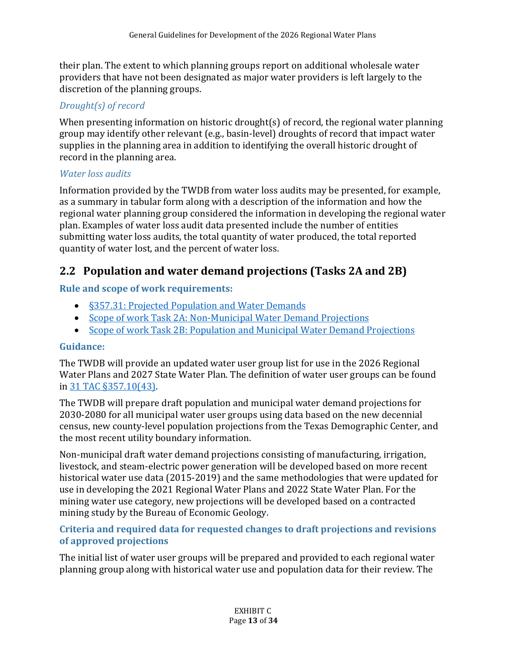their plan. The extent to which planning groups report on additional wholesale water providers that have not been designated as major water providers is left largely to the discretion of the planning groups.

#### *Drought(s) of record*

When presenting information on historic drought(s) of record, the regional water planning group may identify other relevant (e.g., basin-level) droughts of record that impact water supplies in the planning area in addition to identifying the overall historic drought of record in the planning area.

#### *Water loss audits*

Information provided by the TWDB from water loss audits may be presented, for example, as a summary in tabular form along with a description of the information and how the regional water planning group considered the information in developing the regional water plan. Examples of water loss audit data presented include the number of entities submitting water loss audits, the total quantity of water produced, the total reported quantity of water lost, and the percent of water loss.

# <span id="page-12-0"></span>**2.2 Population and water demand projections (Tasks 2A and 2B)**

#### **Rule and scope of work requirements:**

- [§357.31: Projected Population and Water Demands](https://texreg.sos.state.tx.us/public/readtac$ext.TacPage?sl=R&app=9&p_dir=&p_rloc=&p_tloc=&p_ploc=&pg=1&p_tac=&ti=31&pt=10&ch=357&rl=31)
- Scope of work Task 2A: [Non-Municipal Water Demand Projections](http://www.twdb.texas.gov/waterplanning/rwp/planningdocu/2026/projectdocs/InitialSOW_2026RWPs.pdf#page=5)
- Scope of work [Task 2B: Population and Municipal Water Demand Projections](http://www.twdb.texas.gov/waterplanning/rwp/planningdocu/2026/projectdocs/InitialSOW_2026RWPs.pdf#page=6)

#### **Guidance:**

The TWDB will provide an updated water user group list for use in the 2026 Regional Water Plans and 2027 State Water Plan. The definition of water user groups can be found i[n 31 TAC §357.10\(43\).](https://texreg.sos.state.tx.us/public/readtac$ext.TacPage?sl=R&app=9&p_dir=&p_rloc=&p_tloc=&p_ploc=&pg=1&p_tac=&ti=31&pt=10&ch=357&rl=10)

The TWDB will prepare draft population and municipal water demand projections for 2030-2080 for all municipal water user groups using data based on the new decennial census, new county-level population projections from the Texas Demographic Center, and the most recent utility boundary information.

Non-municipal draft water demand projections consisting of manufacturing, irrigation, livestock, and steam-electric power generation will be developed based on more recent historical water use data (2015-2019) and the same methodologies that were updated for use in developing the 2021 Regional Water Plans and 2022 State Water Plan. For the mining water use category, new projections will be developed based on a contracted mining study by the Bureau of Economic Geology.

#### **Criteria and required data for requested changes to draft projections and revisions of approved projections**

The initial list of water user groups will be prepared and provided to each regional water planning group along with historical water use and population data for their review. The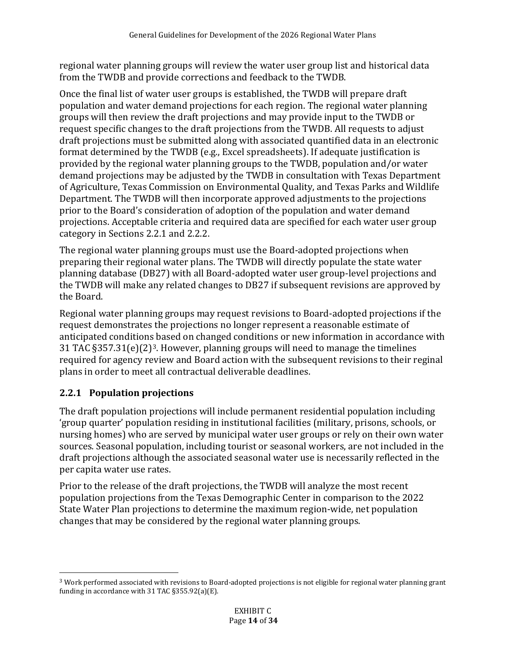regional water planning groups will review the water user group list and historical data from the TWDB and provide corrections and feedback to the TWDB.

Once the final list of water user groups is established, the TWDB will prepare draft population and water demand projections for each region. The regional water planning groups will then review the draft projections and may provide input to the TWDB or request specific changes to the draft projections from the TWDB. All requests to adjust draft projections must be submitted along with associated quantified data in an electronic format determined by the TWDB (e.g., Excel spreadsheets). If adequate justification is provided by the regional water planning groups to the TWDB, population and/or water demand projections may be adjusted by the TWDB in consultation with Texas Department of Agriculture, Texas Commission on Environmental Quality, and Texas Parks and Wildlife Department. The TWDB will then incorporate approved adjustments to the projections prior to the Board's consideration of adoption of the population and water demand projections. Acceptable criteria and required data are specified for each water user group category in Sections 2.2.1 and 2.2.2.

The regional water planning groups must use the Board-adopted projections when preparing their regional water plans. The TWDB will directly populate the state water planning database (DB27) with all Board-adopted water user group-level projections and the TWDB will make any related changes to DB27 if subsequent revisions are approved by the Board.

Regional water planning groups may request revisions to Board-adopted projections if the request demonstrates the projections no longer represent a reasonable estimate of anticipated conditions based on changed conditions or new information in accordance with 31 TAC §357.31(e)(2)[3](#page-13-1). However, planning groups will need to manage the timelines required for agency review and Board action with the subsequent revisions to their reginal plans in order to meet all contractual deliverable deadlines.

### <span id="page-13-0"></span>**2.2.1 Population projections**

The draft population projections will include permanent residential population including 'group quarter' population residing in institutional facilities (military, prisons, schools, or nursing homes) who are served by municipal water user groups or rely on their own water sources. Seasonal population, including tourist or seasonal workers, are not included in the draft projections although the associated seasonal water use is necessarily reflected in the per capita water use rates.

Prior to the release of the draft projections, the TWDB will analyze the most recent population projections from the Texas Demographic Center in comparison to the 2022 State Water Plan projections to determine the maximum region-wide, net population changes that may be considered by the regional water planning groups.

<span id="page-13-1"></span><sup>&</sup>lt;sup>3</sup> Work performed associated with revisions to Board-adopted projections is not eligible for regional water planning grant funding in accordance with 31 TAC §355.92(a)(E).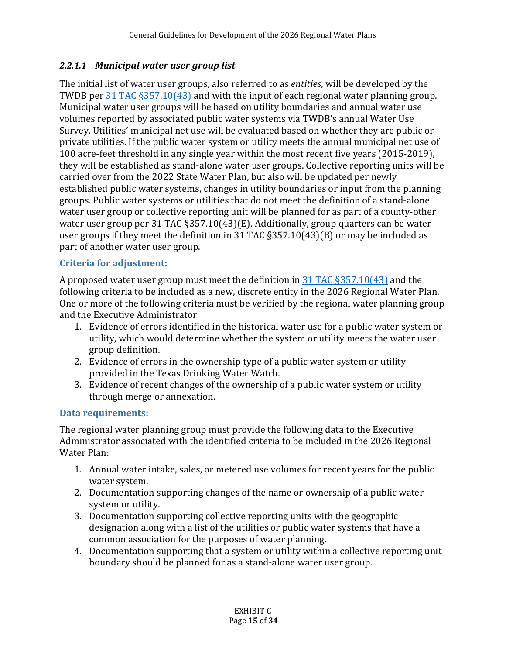#### *2.2.1.1 Municipal water user group list*

The initial list of water user groups, also referred to as *entities*, will be developed by the TWDB per [31 TAC §357.10\(43\)](https://texreg.sos.state.tx.us/public/readtac$ext.TacPage?sl=R&app=9&p_dir=&p_rloc=&p_tloc=&p_ploc=&pg=1&p_tac=&ti=31&pt=10&ch=357&rl=10) and with the input of each regional water planning group. Municipal water user groups will be based on utility boundaries and annual water use volumes reported by associated public water systems via TWDB's annual Water Use Survey. Utilities' municipal net use will be evaluated based on whether they are public or private utilities. If the public water system or utility meets the annual municipal net use of 100 acre-feet threshold in any single year within the most recent five years (2015-2019), they will be established as stand-alone water user groups. Collective reporting units will be carried over from the 2022 State Water Plan, but also will be updated per newly established public water systems, changes in utility boundaries or input from the planning groups. Public water systems or utilities that do not meet the definition of a stand-alone water user group or collective reporting unit will be planned for as part of a county-other water user group per 31 TAC §357.10(43)(E). Additionally, group quarters can be water user groups if they meet the definition in 31 TAC §357.10(43)(B) or may be included as part of another water user group.

#### **Criteria for adjustment:**

A proposed water user group must meet the definition in [31 TAC §357.10\(43\)](https://texreg.sos.state.tx.us/public/readtac$ext.TacPage?sl=R&app=9&p_dir=&p_rloc=&p_tloc=&p_ploc=&pg=1&p_tac=&ti=31&pt=10&ch=357&rl=10) and the following criteria to be included as a new, discrete entity in the 2026 Regional Water Plan. One or more of the following criteria must be verified by the regional water planning group and the Executive Administrator:

- 1. Evidence of errors identified in the historical water use for a public water system or utility, which would determine whether the system or utility meets the water user group definition.
- 2. Evidence of errors in the ownership type of a public water system or utility provided in the Texas Drinking Water Watch.
- 3. Evidence of recent changes of the ownership of a public water system or utility through merge or annexation.

#### **Data requirements:**

The regional water planning group must provide the following data to the Executive Administrator associated with the identified criteria to be included in the 2026 Regional Water Plan:

- 1. Annual water intake, sales, or metered use volumes for recent years for the public water system.
- 2. Documentation supporting changes of the name or ownership of a public water system or utility.
- 3. Documentation supporting collective reporting units with the geographic designation along with a list of the utilities or public water systems that have a common association for the purposes of water planning.
- 4. Documentation supporting that a system or utility within a collective reporting unit boundary should be planned for as a stand-alone water user group.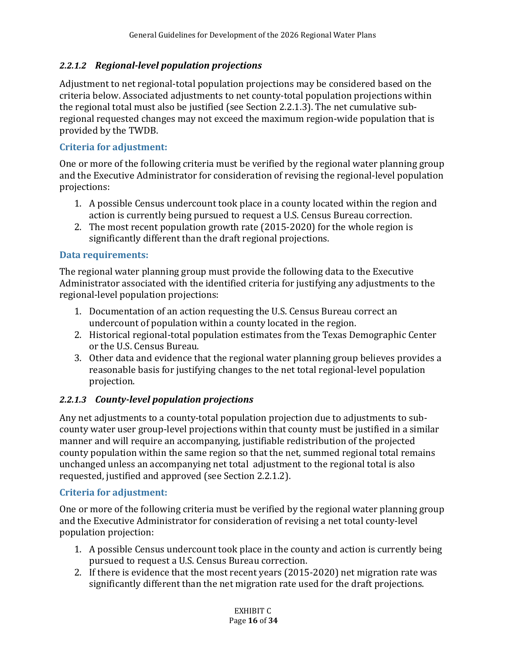#### *2.2.1.2 Regional-level population projections*

Adjustment to net regional-total population projections may be considered based on the criteria below. Associated adjustments to net county-total population projections within the regional total must also be justified (see Section 2.2.1.3). The net cumulative subregional requested changes may not exceed the maximum region-wide population that is provided by the TWDB.

#### **Criteria for adjustment:**

One or more of the following criteria must be verified by the regional water planning group and the Executive Administrator for consideration of revising the regional-level population projections:

- 1. A possible Census undercount took place in a county located within the region and action is currently being pursued to request a U.S. Census Bureau correction.
- 2. The most recent population growth rate (2015-2020) for the whole region is significantly different than the draft regional projections.

#### **Data requirements:**

The regional water planning group must provide the following data to the Executive Administrator associated with the identified criteria for justifying any adjustments to the regional-level population projections:

- 1. Documentation of an action requesting the U.S. Census Bureau correct an undercount of population within a county located in the region.
- 2. Historical regional-total population estimates from the Texas Demographic Center or the U.S. Census Bureau.
- 3. Other data and evidence that the regional water planning group believes provides a reasonable basis for justifying changes to the net total regional-level population projection.

#### *2.2.1.3 County-level population projections*

Any net adjustments to a county-total population projection due to adjustments to subcounty water user group-level projections within that county must be justified in a similar manner and will require an accompanying, justifiable redistribution of the projected county population within the same region so that the net, summed regional total remains unchanged unless an accompanying net total adjustment to the regional total is also requested, justified and approved (see Section 2.2.1.2).

#### **Criteria for adjustment:**

One or more of the following criteria must be verified by the regional water planning group and the Executive Administrator for consideration of revising a net total county-level population projection:

- 1. A possible Census undercount took place in the county and action is currently being pursued to request a U.S. Census Bureau correction.
- 2. If there is evidence that the most recent years (2015-2020) net migration rate was significantly different than the net migration rate used for the draft projections.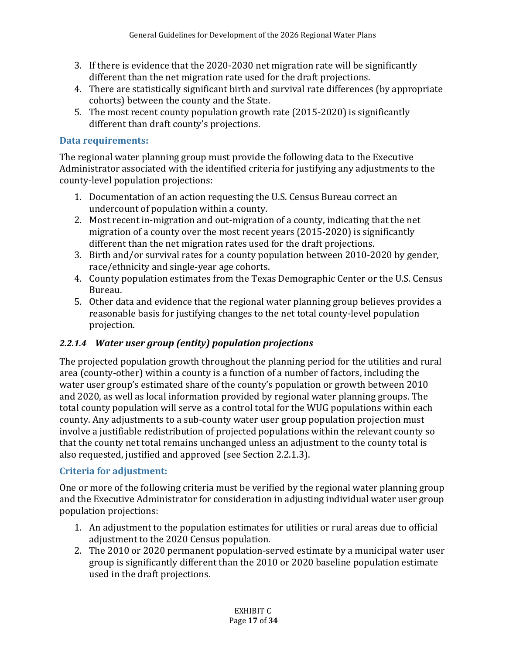- 3. If there is evidence that the 2020-2030 net migration rate will be significantly different than the net migration rate used for the draft projections.
- 4. There are statistically significant birth and survival rate differences (by appropriate cohorts) between the county and the State.
- 5. The most recent county population growth rate (2015-2020) is significantly different than draft county's projections.

#### **Data requirements:**

The regional water planning group must provide the following data to the Executive Administrator associated with the identified criteria for justifying any adjustments to the county-level population projections:

- 1. Documentation of an action requesting the U.S. Census Bureau correct an undercount of population within a county.
- 2. Most recent in-migration and out-migration of a county, indicating that the net migration of a county over the most recent years (2015-2020) is significantly different than the net migration rates used for the draft projections.
- 3. Birth and/or survival rates for a county population between 2010-2020 by gender, race/ethnicity and single-year age cohorts.
- 4. County population estimates from the Texas Demographic Center or the U.S. Census Bureau.
- 5. Other data and evidence that the regional water planning group believes provides a reasonable basis for justifying changes to the net total county-level population projection.

#### *2.2.1.4 Water user group (entity) population projections*

The projected population growth throughout the planning period for the utilities and rural area (county-other) within a county is a function of a number of factors, including the water user group's estimated share of the county's population or growth between 2010 and 2020, as well as local information provided by regional water planning groups. The total county population will serve as a control total for the WUG populations within each county. Any adjustments to a sub-county water user group population projection must involve a justifiable redistribution of projected populations within the relevant county so that the county net total remains unchanged unless an adjustment to the county total is also requested, justified and approved (see Section 2.2.1.3).

#### **Criteria for adjustment:**

One or more of the following criteria must be verified by the regional water planning group and the Executive Administrator for consideration in adjusting individual water user group population projections:

- 1. An adjustment to the population estimates for utilities or rural areas due to official adjustment to the 2020 Census population.
- 2. The 2010 or 2020 permanent population-served estimate by a municipal water user group is significantly different than the 2010 or 2020 baseline population estimate used in the draft projections.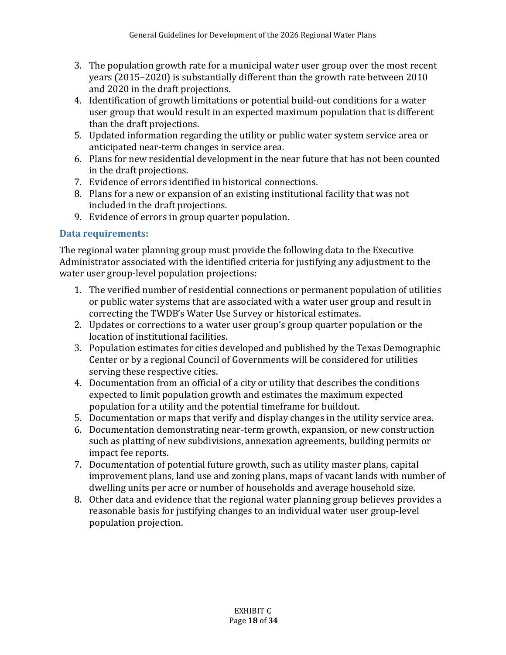- 3. The population growth rate for a municipal water user group over the most recent years (2015–2020) is substantially different than the growth rate between 2010 and 2020 in the draft projections.
- 4. Identification of growth limitations or potential build-out conditions for a water user group that would result in an expected maximum population that is different than the draft projections.
- 5. Updated information regarding the utility or public water system service area or anticipated near-term changes in service area.
- 6. Plans for new residential development in the near future that has not been counted in the draft projections.
- 7. Evidence of errors identified in historical connections.
- 8. Plans for a new or expansion of an existing institutional facility that was not included in the draft projections.
- 9. Evidence of errors in group quarter population.

#### **Data requirements:**

The regional water planning group must provide the following data to the Executive Administrator associated with the identified criteria for justifying any adjustment to the water user group-level population projections:

- 1. The verified number of residential connections or permanent population of utilities or public water systems that are associated with a water user group and result in correcting the TWDB's Water Use Survey or historical estimates.
- 2. Updates or corrections to a water user group's group quarter population or the location of institutional facilities.
- 3. Population estimates for cities developed and published by the Texas Demographic Center or by a regional Council of Governments will be considered for utilities serving these respective cities.
- 4. Documentation from an official of a city or utility that describes the conditions expected to limit population growth and estimates the maximum expected population for a utility and the potential timeframe for buildout.
- 5. Documentation or maps that verify and display changes in the utility service area.
- 6. Documentation demonstrating near-term growth, expansion, or new construction such as platting of new subdivisions, annexation agreements, building permits or impact fee reports.
- 7. Documentation of potential future growth, such as utility master plans, capital improvement plans, land use and zoning plans, maps of vacant lands with number of dwelling units per acre or number of households and average household size.
- 8. Other data and evidence that the regional water planning group believes provides a reasonable basis for justifying changes to an individual water user group-level population projection.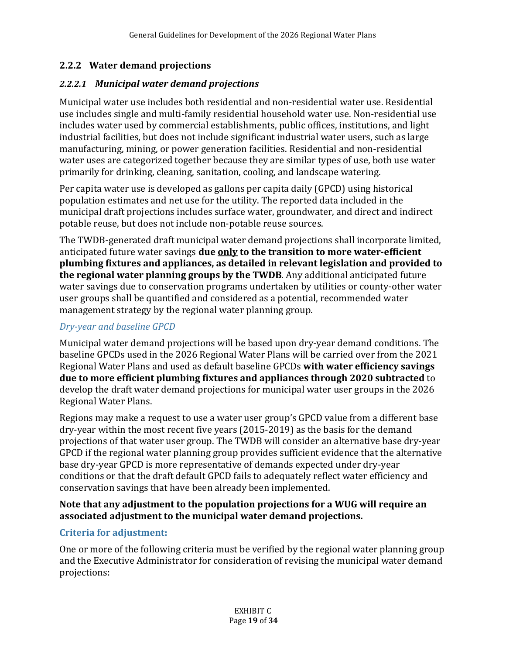#### <span id="page-18-0"></span>**2.2.2 Water demand projections**

#### *2.2.2.1 Municipal water demand projections*

Municipal water use includes both residential and non-residential water use. Residential use includes single and multi-family residential household water use. Non-residential use includes water used by commercial establishments, public offices, institutions, and light industrial facilities, but does not include significant industrial water users, such as large manufacturing, mining, or power generation facilities. Residential and non-residential water uses are categorized together because they are similar types of use, both use water primarily for drinking, cleaning, sanitation, cooling, and landscape watering.

Per capita water use is developed as gallons per capita daily (GPCD) using historical population estimates and net use for the utility. The reported data included in the municipal draft projections includes surface water, groundwater, and direct and indirect potable reuse, but does not include non-potable reuse sources.

The TWDB-generated draft municipal water demand projections shall incorporate limited, anticipated future water savings **due only to the transition to more water-efficient plumbing fixtures and appliances, as detailed in relevant legislation and provided to the regional water planning groups by the TWDB**. Any additional anticipated future water savings due to conservation programs undertaken by utilities or county-other water user groups shall be quantified and considered as a potential, recommended water management strategy by the regional water planning group.

#### *Dry-year and baseline GPCD*

Municipal water demand projections will be based upon dry-year demand conditions. The baseline GPCDs used in the 2026 Regional Water Plans will be carried over from the 2021 Regional Water Plans and used as default baseline GPCDs **with water efficiency savings due to more efficient plumbing fixtures and appliances through 2020 subtracted** to develop the draft water demand projections for municipal water user groups in the 2026 Regional Water Plans.

Regions may make a request to use a water user group's GPCD value from a different base dry-year within the most recent five years (2015-2019) as the basis for the demand projections of that water user group. The TWDB will consider an alternative base dry-year GPCD if the regional water planning group provides sufficient evidence that the alternative base dry-year GPCD is more representative of demands expected under dry-year conditions or that the draft default GPCD fails to adequately reflect water efficiency and conservation savings that have been already been implemented.

#### **Note that any adjustment to the population projections for a WUG will require an associated adjustment to the municipal water demand projections.**

#### **Criteria for adjustment:**

One or more of the following criteria must be verified by the regional water planning group and the Executive Administrator for consideration of revising the municipal water demand projections: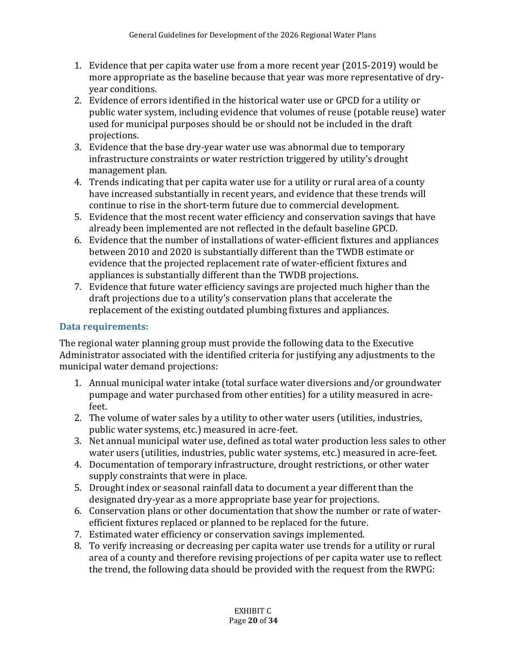- 1. Evidence that per capita water use from a more recent year (2015-2019) would be more appropriate as the baseline because that year was more representative of dryyear conditions.
- 2. Evidence of errors identified in the historical water use or GPCD for a utility or public water system, including evidence that volumes of reuse (potable reuse) water used for municipal purposes should be or should not be included in the draft projections.
- 3. Evidence that the base dry-year water use was abnormal due to temporary infrastructure constraints or water restriction triggered by utility's drought management plan.
- 4. Trends indicating that per capita water use for a utility or rural area of a county have increased substantially in recent years, and evidence that these trends will continue to rise in the short-term future due to commercial development.
- 5. Evidence that the most recent water efficiency and conservation savings that have already been implemented are not reflected in the default baseline GPCD.
- 6. Evidence that the number of installations of water-efficient fixtures and appliances between 2010 and 2020 is substantially different than the TWDB estimate or evidence that the projected replacement rate of water-efficient fixtures and appliances is substantially different than the TWDB projections.
- 7. Evidence that future water efficiency savings are projected much higher than the draft projections due to a utility's conservation plans that accelerate the replacement of the existing outdated plumbing fixtures and appliances.

#### **Data requirements:**

The regional water planning group must provide the following data to the Executive Administrator associated with the identified criteria for justifying any adjustments to the municipal water demand projections:

- 1. Annual municipal water intake (total surface water diversions and/or groundwater pumpage and water purchased from other entities) for a utility measured in acrefeet.
- 2. The volume of water sales by a utility to other water users (utilities, industries, public water systems, etc.) measured in acre-feet.
- 3. Net annual municipal water use, defined as total water production less sales to other water users (utilities, industries, public water systems, etc.) measured in acre-feet.
- 4. Documentation of temporary infrastructure, drought restrictions, or other water supply constraints that were in place.
- 5. Drought index or seasonal rainfall data to document a year different than the designated dry-year as a more appropriate base year for projections.
- 6. Conservation plans or other documentation that show the number or rate of waterefficient fixtures replaced or planned to be replaced for the future.
- 7. Estimated water efficiency or conservation savings implemented.
- 8. To verify increasing or decreasing per capita water use trends for a utility or rural area of a county and therefore revising projections of per capita water use to reflect the trend, the following data should be provided with the request from the RWPG: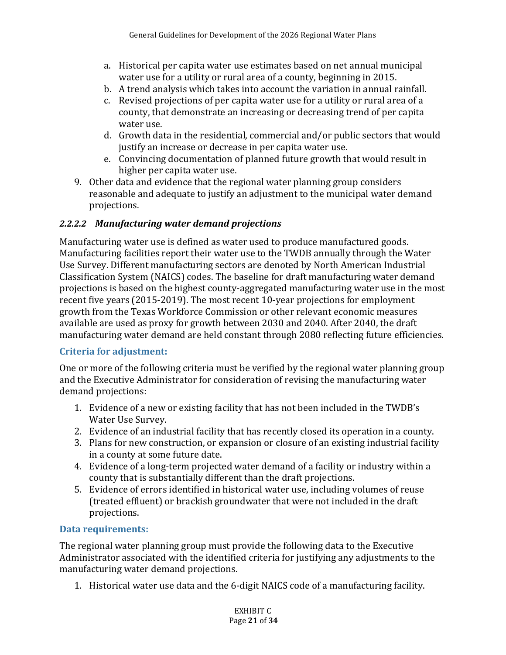- a. Historical per capita water use estimates based on net annual municipal water use for a utility or rural area of a county, beginning in 2015.
- b. A trend analysis which takes into account the variation in annual rainfall.
- c. Revised projections of per capita water use for a utility or rural area of a county, that demonstrate an increasing or decreasing trend of per capita water use.
- d. Growth data in the residential, commercial and/or public sectors that would justify an increase or decrease in per capita water use.
- e. Convincing documentation of planned future growth that would result in higher per capita water use.
- 9. Other data and evidence that the regional water planning group considers reasonable and adequate to justify an adjustment to the municipal water demand projections.

#### *2.2.2.2 Manufacturing water demand projections*

Manufacturing water use is defined as water used to produce manufactured goods. Manufacturing facilities report their water use to the TWDB annually through the Water Use Survey. Different manufacturing sectors are denoted by North American Industrial Classification System (NAICS) codes. The baseline for draft manufacturing water demand projections is based on the highest county-aggregated manufacturing water use in the most recent five years (2015-2019). The most recent 10-year projections for employment growth from the Texas Workforce Commission or other relevant economic measures available are used as proxy for growth between 2030 and 2040. After 2040, the draft manufacturing water demand are held constant through 2080 reflecting future efficiencies.

#### **Criteria for adjustment:**

One or more of the following criteria must be verified by the regional water planning group and the Executive Administrator for consideration of revising the manufacturing water demand projections:

- 1. Evidence of a new or existing facility that has not been included in the TWDB's Water Use Survey.
- 2. Evidence of an industrial facility that has recently closed its operation in a county.
- 3. Plans for new construction, or expansion or closure of an existing industrial facility in a county at some future date.
- 4. Evidence of a long-term projected water demand of a facility or industry within a county that is substantially different than the draft projections.
- 5. Evidence of errors identified in historical water use, including volumes of reuse (treated effluent) or brackish groundwater that were not included in the draft projections.

#### **Data requirements:**

The regional water planning group must provide the following data to the Executive Administrator associated with the identified criteria for justifying any adjustments to the manufacturing water demand projections.

1. Historical water use data and the 6-digit NAICS code of a manufacturing facility.

EXHIBIT C Page **21** of **34**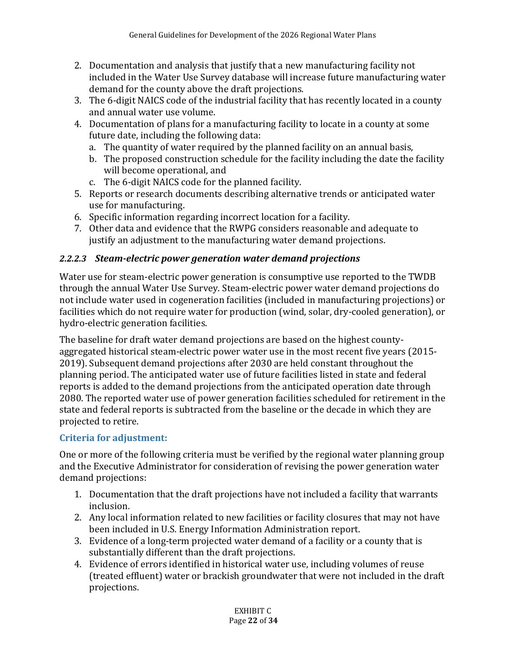- 2. Documentation and analysis that justify that a new manufacturing facility not included in the Water Use Survey database will increase future manufacturing water demand for the county above the draft projections.
- 3. The 6-digit NAICS code of the industrial facility that has recently located in a county and annual water use volume.
- 4. Documentation of plans for a manufacturing facility to locate in a county at some future date, including the following data:
	- a. The quantity of water required by the planned facility on an annual basis,
	- b. The proposed construction schedule for the facility including the date the facility will become operational, and
	- c. The 6-digit NAICS code for the planned facility.
- 5. Reports or research documents describing alternative trends or anticipated water use for manufacturing.
- 6. Specific information regarding incorrect location for a facility.
- 7. Other data and evidence that the RWPG considers reasonable and adequate to justify an adjustment to the manufacturing water demand projections.

#### *2.2.2.3 Steam-electric power generation water demand projections*

Water use for steam-electric power generation is consumptive use reported to the TWDB through the annual Water Use Survey. Steam-electric power water demand projections do not include water used in cogeneration facilities (included in manufacturing projections) or facilities which do not require water for production (wind, solar, dry-cooled generation), or hydro-electric generation facilities.

The baseline for draft water demand projections are based on the highest countyaggregated historical steam-electric power water use in the most recent five years (2015- 2019). Subsequent demand projections after 2030 are held constant throughout the planning period. The anticipated water use of future facilities listed in state and federal reports is added to the demand projections from the anticipated operation date through 2080. The reported water use of power generation facilities scheduled for retirement in the state and federal reports is subtracted from the baseline or the decade in which they are projected to retire.

#### **Criteria for adjustment:**

One or more of the following criteria must be verified by the regional water planning group and the Executive Administrator for consideration of revising the power generation water demand projections:

- 1. Documentation that the draft projections have not included a facility that warrants inclusion.
- 2. Any local information related to new facilities or facility closures that may not have been included in U.S. Energy Information Administration report.
- 3. Evidence of a long-term projected water demand of a facility or a county that is substantially different than the draft projections.
- 4. Evidence of errors identified in historical water use, including volumes of reuse (treated effluent) water or brackish groundwater that were not included in the draft projections.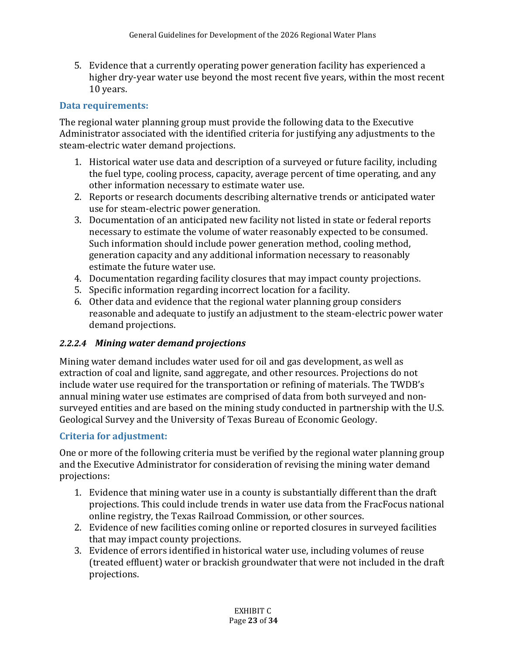5. Evidence that a currently operating power generation facility has experienced a higher dry-year water use beyond the most recent five years, within the most recent 10 years.

#### **Data requirements:**

The regional water planning group must provide the following data to the Executive Administrator associated with the identified criteria for justifying any adjustments to the steam-electric water demand projections.

- 1. Historical water use data and description of a surveyed or future facility, including the fuel type, cooling process, capacity, average percent of time operating, and any other information necessary to estimate water use.
- 2. Reports or research documents describing alternative trends or anticipated water use for steam-electric power generation.
- 3. Documentation of an anticipated new facility not listed in state or federal reports necessary to estimate the volume of water reasonably expected to be consumed. Such information should include power generation method, cooling method, generation capacity and any additional information necessary to reasonably estimate the future water use.
- 4. Documentation regarding facility closures that may impact county projections.
- 5. Specific information regarding incorrect location for a facility.
- 6. Other data and evidence that the regional water planning group considers reasonable and adequate to justify an adjustment to the steam-electric power water demand projections.

#### *2.2.2.4 Mining water demand projections*

Mining water demand includes water used for oil and gas development, as well as extraction of coal and lignite, sand aggregate, and other resources. Projections do not include water use required for the transportation or refining of materials. The TWDB's annual mining water use estimates are comprised of data from both surveyed and nonsurveyed entities and are based on the mining study conducted in partnership with the U.S. Geological Survey and the University of Texas Bureau of Economic Geology.

#### **Criteria for adjustment:**

One or more of the following criteria must be verified by the regional water planning group and the Executive Administrator for consideration of revising the mining water demand projections:

- 1. Evidence that mining water use in a county is substantially different than the draft projections. This could include trends in water use data from the FracFocus national online registry, the Texas Railroad Commission, or other sources.
- 2. Evidence of new facilities coming online or reported closures in surveyed facilities that may impact county projections.
- 3. Evidence of errors identified in historical water use, including volumes of reuse (treated effluent) water or brackish groundwater that were not included in the draft projections.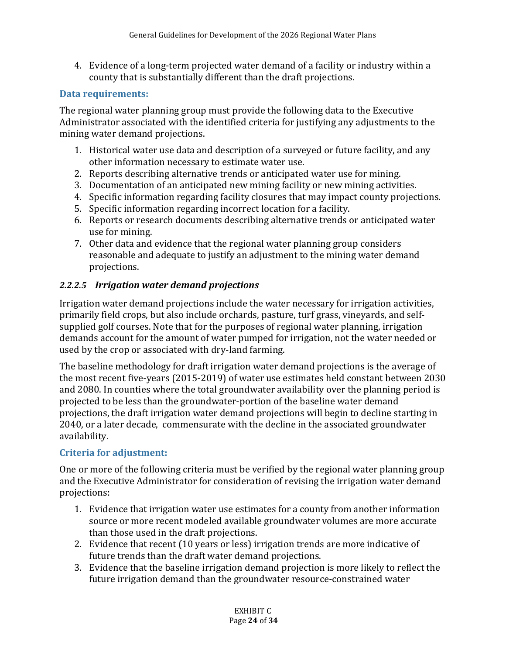4. Evidence of a long-term projected water demand of a facility or industry within a county that is substantially different than the draft projections.

#### **Data requirements:**

The regional water planning group must provide the following data to the Executive Administrator associated with the identified criteria for justifying any adjustments to the mining water demand projections.

- 1. Historical water use data and description of a surveyed or future facility, and any other information necessary to estimate water use.
- 2. Reports describing alternative trends or anticipated water use for mining.
- 3. Documentation of an anticipated new mining facility or new mining activities.
- 4. Specific information regarding facility closures that may impact county projections.
- 5. Specific information regarding incorrect location for a facility.
- 6. Reports or research documents describing alternative trends or anticipated water use for mining.
- 7. Other data and evidence that the regional water planning group considers reasonable and adequate to justify an adjustment to the mining water demand projections.

#### *2.2.2.5 Irrigation water demand projections*

Irrigation water demand projections include the water necessary for irrigation activities, primarily field crops, but also include orchards, pasture, turf grass, vineyards, and selfsupplied golf courses. Note that for the purposes of regional water planning, irrigation demands account for the amount of water pumped for irrigation, not the water needed or used by the crop or associated with dry-land farming.

The baseline methodology for draft irrigation water demand projections is the average of the most recent five-years (2015-2019) of water use estimates held constant between 2030 and 2080. In counties where the total groundwater availability over the planning period is projected to be less than the groundwater-portion of the baseline water demand projections, the draft irrigation water demand projections will begin to decline starting in 2040, or a later decade, commensurate with the decline in the associated groundwater availability.

#### **Criteria for adjustment:**

One or more of the following criteria must be verified by the regional water planning group and the Executive Administrator for consideration of revising the irrigation water demand projections:

- 1. Evidence that irrigation water use estimates for a county from another information source or more recent modeled available groundwater volumes are more accurate than those used in the draft projections.
- 2. Evidence that recent (10 years or less) irrigation trends are more indicative of future trends than the draft water demand projections.
- 3. Evidence that the baseline irrigation demand projection is more likely to reflect the future irrigation demand than the groundwater resource-constrained water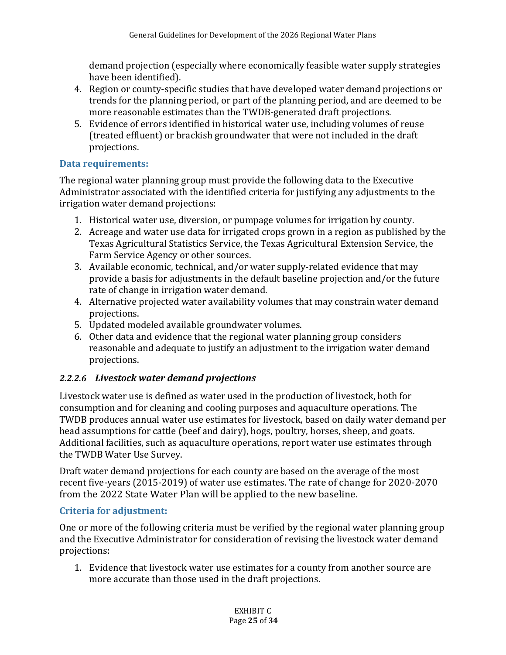demand projection (especially where economically feasible water supply strategies have been identified).

- 4. Region or county-specific studies that have developed water demand projections or trends for the planning period, or part of the planning period, and are deemed to be more reasonable estimates than the TWDB-generated draft projections.
- 5. Evidence of errors identified in historical water use, including volumes of reuse (treated effluent) or brackish groundwater that were not included in the draft projections.

#### **Data requirements:**

The regional water planning group must provide the following data to the Executive Administrator associated with the identified criteria for justifying any adjustments to the irrigation water demand projections:

- 1. Historical water use, diversion, or pumpage volumes for irrigation by county.
- 2. Acreage and water use data for irrigated crops grown in a region as published by the Texas Agricultural Statistics Service, the Texas Agricultural Extension Service, the Farm Service Agency or other sources.
- 3. Available economic, technical, and/or water supply-related evidence that may provide a basis for adjustments in the default baseline projection and/or the future rate of change in irrigation water demand.
- 4. Alternative projected water availability volumes that may constrain water demand projections.
- 5. Updated modeled available groundwater volumes.
- 6. Other data and evidence that the regional water planning group considers reasonable and adequate to justify an adjustment to the irrigation water demand projections.

#### *2.2.2.6 Livestock water demand projections*

Livestock water use is defined as water used in the production of livestock, both for consumption and for cleaning and cooling purposes and aquaculture operations. The TWDB produces annual water use estimates for livestock, based on daily water demand per head assumptions for cattle (beef and dairy), hogs, poultry, horses, sheep, and goats. Additional facilities, such as aquaculture operations, report water use estimates through the TWDB Water Use Survey.

Draft water demand projections for each county are based on the average of the most recent five-years (2015-2019) of water use estimates. The rate of change for 2020-2070 from the 2022 State Water Plan will be applied to the new baseline.

#### **Criteria for adjustment:**

One or more of the following criteria must be verified by the regional water planning group and the Executive Administrator for consideration of revising the livestock water demand projections:

1. Evidence that livestock water use estimates for a county from another source are more accurate than those used in the draft projections.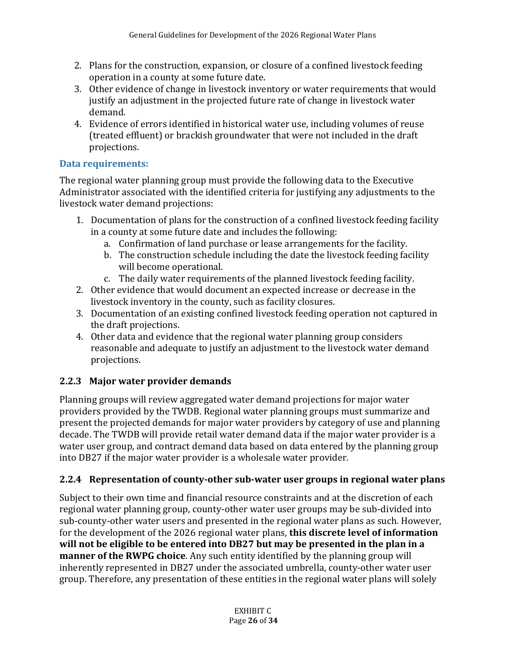- 2. Plans for the construction, expansion, or closure of a confined livestock feeding operation in a county at some future date.
- 3. Other evidence of change in livestock inventory or water requirements that would justify an adjustment in the projected future rate of change in livestock water demand.
- 4. Evidence of errors identified in historical water use, including volumes of reuse (treated effluent) or brackish groundwater that were not included in the draft projections.

#### **Data requirements:**

The regional water planning group must provide the following data to the Executive Administrator associated with the identified criteria for justifying any adjustments to the livestock water demand projections:

- 1. Documentation of plans for the construction of a confined livestock feeding facility in a county at some future date and includes the following:
	- a. Confirmation of land purchase or lease arrangements for the facility.
	- b. The construction schedule including the date the livestock feeding facility will become operational.
	- c. The daily water requirements of the planned livestock feeding facility.
- 2. Other evidence that would document an expected increase or decrease in the livestock inventory in the county, such as facility closures.
- 3. Documentation of an existing confined livestock feeding operation not captured in the draft projections.
- 4. Other data and evidence that the regional water planning group considers reasonable and adequate to justify an adjustment to the livestock water demand projections.

#### <span id="page-25-0"></span>**2.2.3 Major water provider demands**

Planning groups will review aggregated water demand projections for major water providers provided by the TWDB. Regional water planning groups must summarize and present the projected demands for major water providers by category of use and planning decade. The TWDB will provide retail water demand data if the major water provider is a water user group, and contract demand data based on data entered by the planning group into DB27 if the major water provider is a wholesale water provider*.*

#### <span id="page-25-1"></span>**2.2.4 Representation of county-other sub-water user groups in regional water plans**

Subject to their own time and financial resource constraints and at the discretion of each regional water planning group, county-other water user groups may be sub-divided into sub-county-other water users and presented in the regional water plans as such. However, for the development of the 2026 regional water plans, **this discrete level of information will not be eligible to be entered into DB27 but may be presented in the plan in a manner of the RWPG choice**. Any such entity identified by the planning group will inherently represented in DB27 under the associated umbrella, county-other water user group. Therefore, any presentation of these entities in the regional water plans will solely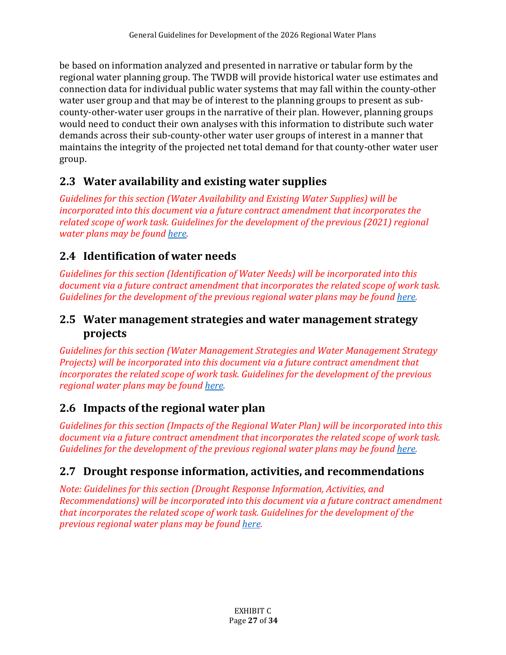be based on information analyzed and presented in narrative or tabular form by the regional water planning group. The TWDB will provide historical water use estimates and connection data for individual public water systems that may fall within the county-other water user group and that may be of interest to the planning groups to present as subcounty-other-water user groups in the narrative of their plan. However, planning groups would need to conduct their own analyses with this information to distribute such water demands across their sub-county-other water user groups of interest in a manner that maintains the integrity of the projected net total demand for that county-other water user group.

# <span id="page-26-0"></span>**2.3 Water availability and existing water supplies**

*Guidelines for this section (Water Availability and Existing Water Supplies) will be incorporated into this document via a future contract amendment that incorporates the related scope of work task. Guidelines for the development of the previous (2021) regional water plans may be found [here.](http://www.twdb.texas.gov/waterplanning/rwp/planningdocu/2021/doc/current_docs/contract_docs/2ndAmendedExhibitC.pdf#page=23)*

# <span id="page-26-1"></span>**2.4 Identification of water needs**

*Guidelines for this section (Identification of Water Needs) will be incorporated into this document via a future contract amendment that incorporates the related scope of work task. Guidelines for the development of the previous regional water plans may be found [here.](http://www.twdb.texas.gov/waterplanning/rwp/planningdocu/2021/doc/current_docs/contract_docs/2ndAmendedExhibitC.pdf#page=38)*

## <span id="page-26-2"></span>**2.5 Water management strategies and water management strategy projects**

*Guidelines for this section (Water Management Strategies and Water Management Strategy Projects) will be incorporated into this document via a future contract amendment that incorporates the related scope of work task. Guidelines for the development of the previous regional water plans may be found [here.](http://www.twdb.texas.gov/waterplanning/rwp/planningdocu/2021/doc/current_docs/contract_docs/2ndAmendedExhibitC.pdf#page=41)*

# <span id="page-26-3"></span>**2.6 Impacts of the regional water plan**

*Guidelines for this section (Impacts of the Regional Water Plan) will be incorporated into this document via a future contract amendment that incorporates the related scope of work task. Guidelines for the development of the previous regional water plans may be foun[d here.](http://www.twdb.texas.gov/waterplanning/rwp/planningdocu/2021/doc/current_docs/contract_docs/2ndAmendedExhibitC.pdf#page=58)*

# <span id="page-26-4"></span>**2.7 Drought response information, activities, and recommendations**

*Note: Guidelines for this section (Drought Response Information, Activities, and Recommendations) will be incorporated into this document via a future contract amendment that incorporates the related scope of work task. Guidelines for the development of the previous regional water plans may be found [here.](http://www.twdb.texas.gov/waterplanning/rwp/planningdocu/2021/doc/current_docs/contract_docs/2ndAmendedExhibitC.pdf#page=60)*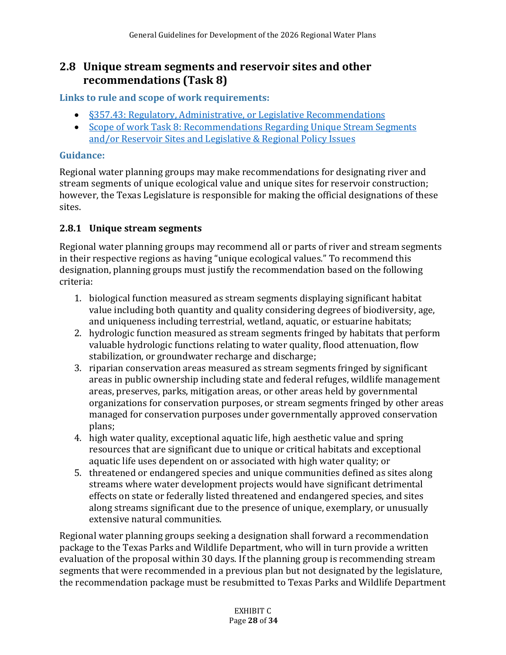# <span id="page-27-0"></span>**2.8 Unique stream segments and reservoir sites and other recommendations (Task 8)**

#### **Links to rule and scope of work requirements:**

- [§357.43: Regulatory, Administrative, or Legislative Recommendations](https://texreg.sos.state.tx.us/public/readtac$ext.TacPage?sl=R&app=9&p_dir=&p_rloc=&p_tloc=&p_ploc=&pg=1&p_tac=&ti=31&pt=10&ch=357&rl=43)
- Scope of work Task 8: Recommendations Regarding Unique Stream Segments [and/or Reservoir Sites and Legislative & Regional Policy Issues](http://www.twdb.texas.gov/waterplanning/rwp/planningdocu/2026/projectdocs/InitialSOW_2026RWPs.pdf#page=9)

#### **Guidance:**

Regional water planning groups may make recommendations for designating river and stream segments of unique ecological value and unique sites for reservoir construction; however, the Texas Legislature is responsible for making the official designations of these sites.

#### <span id="page-27-1"></span>**2.8.1 Unique stream segments**

Regional water planning groups may recommend all or parts of river and stream segments in their respective regions as having "unique ecological values." To recommend this designation, planning groups must justify the recommendation based on the following criteria:

- 1. biological function measured as stream segments displaying significant habitat value including both quantity and quality considering degrees of biodiversity, age, and uniqueness including terrestrial, wetland, aquatic, or estuarine habitats;
- 2. hydrologic function measured as stream segments fringed by habitats that perform valuable hydrologic functions relating to water quality, flood attenuation, flow stabilization, or groundwater recharge and discharge;
- 3. riparian conservation areas measured as stream segments fringed by significant areas in public ownership including state and federal refuges, wildlife management areas, preserves, parks, mitigation areas, or other areas held by governmental organizations for conservation purposes, or stream segments fringed by other areas managed for conservation purposes under governmentally approved conservation plans;
- 4. high water quality, exceptional aquatic life, high aesthetic value and spring resources that are significant due to unique or critical habitats and exceptional aquatic life uses dependent on or associated with high water quality; or
- 5. threatened or endangered species and unique communities defined as sites along streams where water development projects would have significant detrimental effects on state or federally listed threatened and endangered species, and sites along streams significant due to the presence of unique, exemplary, or unusually extensive natural communities.

Regional water planning groups seeking a designation shall forward a recommendation package to the Texas Parks and Wildlife Department, who will in turn provide a written evaluation of the proposal within 30 days. If the planning group is recommending stream segments that were recommended in a previous plan but not designated by the legislature, the recommendation package must be resubmitted to Texas Parks and Wildlife Department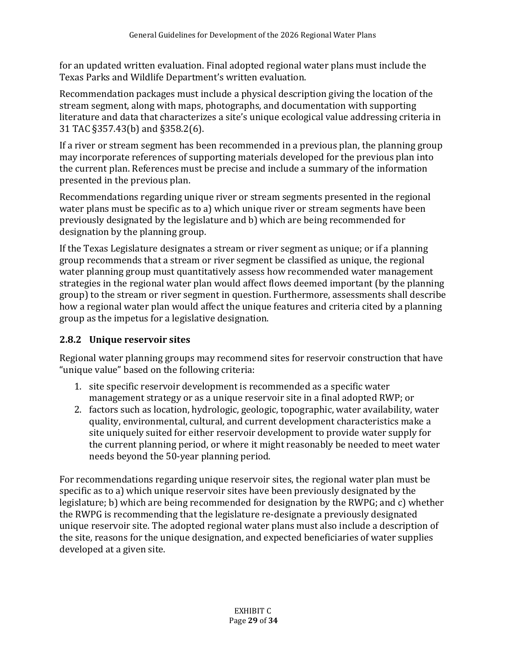for an updated written evaluation. Final adopted regional water plans must include the Texas Parks and Wildlife Department's written evaluation.

Recommendation packages must include a physical description giving the location of the stream segment, along with maps, photographs, and documentation with supporting literature and data that characterizes a site's unique ecological value addressing criteria in 31 TAC §357.43(b) and §358.2(6).

If a river or stream segment has been recommended in a previous plan, the planning group may incorporate references of supporting materials developed for the previous plan into the current plan. References must be precise and include a summary of the information presented in the previous plan.

Recommendations regarding unique river or stream segments presented in the regional water plans must be specific as to a) which unique river or stream segments have been previously designated by the legislature and b) which are being recommended for designation by the planning group.

If the Texas Legislature designates a stream or river segment as unique; or if a planning group recommends that a stream or river segment be classified as unique, the regional water planning group must quantitatively assess how recommended water management strategies in the regional water plan would affect flows deemed important (by the planning group) to the stream or river segment in question. Furthermore, assessments shall describe how a regional water plan would affect the unique features and criteria cited by a planning group as the impetus for a legislative designation.

#### <span id="page-28-0"></span>**2.8.2 Unique reservoir sites**

Regional water planning groups may recommend sites for reservoir construction that have "unique value" based on the following criteria:

- 1. site specific reservoir development is recommended as a specific water management strategy or as a unique reservoir site in a final adopted RWP; or
- 2. factors such as location, hydrologic, geologic, topographic, water availability, water quality, environmental, cultural, and current development characteristics make a site uniquely suited for either reservoir development to provide water supply for the current planning period, or where it might reasonably be needed to meet water needs beyond the 50-year planning period.

For recommendations regarding unique reservoir sites, the regional water plan must be specific as to a) which unique reservoir sites have been previously designated by the legislature; b) which are being recommended for designation by the RWPG; and c) whether the RWPG is recommending that the legislature re-designate a previously designated unique reservoir site. The adopted regional water plans must also include a description of the site, reasons for the unique designation, and expected beneficiaries of water supplies developed at a given site.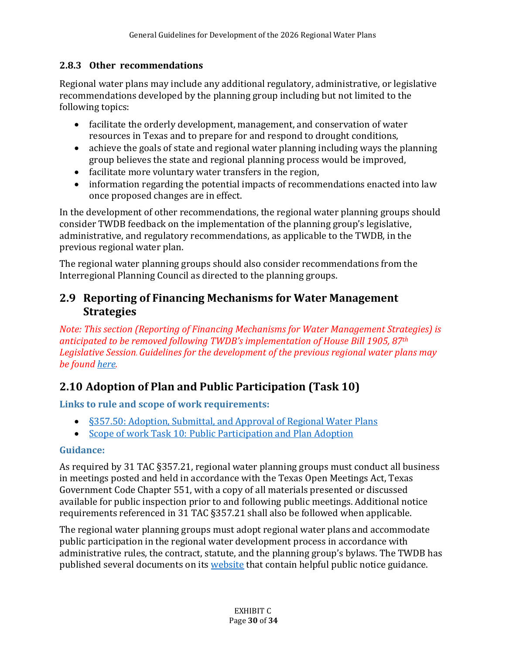#### <span id="page-29-0"></span>**2.8.3 Other recommendations**

Regional water plans may include any additional regulatory, administrative, or legislative recommendations developed by the planning group including but not limited to the following topics:

- facilitate the orderly development, management, and conservation of water resources in Texas and to prepare for and respond to drought conditions,
- achieve the goals of state and regional water planning including ways the planning group believes the state and regional planning process would be improved,
- facilitate more voluntary water transfers in the region,
- information regarding the potential impacts of recommendations enacted into law once proposed changes are in effect.

In the development of other recommendations, the regional water planning groups should consider TWDB feedback on the implementation of the planning group's legislative, administrative, and regulatory recommendations, as applicable to the TWDB, in the previous regional water plan.

The regional water planning groups should also consider recommendations from the Interregional Planning Council as directed to the planning groups.

#### <span id="page-29-1"></span>**2.9 Reporting of Financing Mechanisms for Water Management Strategies**

*Note: This section (Reporting of Financing Mechanisms for Water Management Strategies) is anticipated to be removed following TWDB's implementation of House Bill 1905, 87th Legislative Session. Guidelines for the development of the previous regional water plans may be foun[d here.](http://www.twdb.texas.gov/waterplanning/rwp/planningdocu/2021/doc/current_docs/contract_docs/2ndAmendedExhibitC.pdf#page=65)*

# <span id="page-29-2"></span>**2.10 Adoption of Plan and Public Participation (Task 10)**

#### **Links to rule and scope of work requirements:**

- [§357.50: Adoption, Submittal, and Approval of Regional Water Plans](https://texreg.sos.state.tx.us/public/readtac$ext.TacPage?sl=R&app=9&p_dir=&p_rloc=&p_tloc=&p_ploc=&pg=1&p_tac=&ti=31&pt=10&ch=357&rl=50)
- Scope of work [Task 10: Public Participation and Plan Adoption](http://www.twdb.texas.gov/waterplanning/rwp/planningdocu/2026/projectdocs/InitialSOW_2026RWPs.pdf#page=10)

#### **Guidance:**

As required by 31 TAC §357.21, regional water planning groups must conduct all business in meetings posted and held in accordance with the Texas Open Meetings Act, Texas Government Code Chapter 551, with a copy of all materials presented or discussed available for public inspection prior to and following public meetings. Additional notice requirements referenced in 31 TAC §357.21 shall also be followed when applicable.

The regional water planning groups must adopt regional water plans and accommodate public participation in the regional water development process in accordance with administrative rules, the contract, statute, and the planning group's bylaws. The TWDB has published several documents on its [website](http://www.twdb.texas.gov/waterplanning/rwp/planningdocu/2026/documents.asp#Administrative%20Documents) that contain helpful public notice guidance.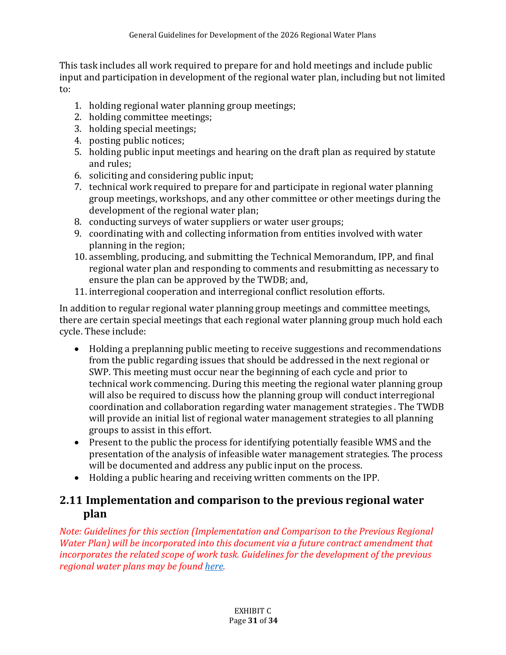This task includes all work required to prepare for and hold meetings and include public input and participation in development of the regional water plan, including but not limited to:

- 1. holding regional water planning group meetings;
- 2. holding committee meetings;
- 3. holding special meetings;
- 4. posting public notices;
- 5. holding public input meetings and hearing on the draft plan as required by statute and rules;
- 6. soliciting and considering public input;
- 7. technical work required to prepare for and participate in regional water planning group meetings, workshops, and any other committee or other meetings during the development of the regional water plan;
- 8. conducting surveys of water suppliers or water user groups;
- 9. coordinating with and collecting information from entities involved with water planning in the region;
- 10. assembling, producing, and submitting the Technical Memorandum, IPP, and final regional water plan and responding to comments and resubmitting as necessary to ensure the plan can be approved by the TWDB; and,
- 11. interregional cooperation and interregional conflict resolution efforts.

In addition to regular regional water planning group meetings and committee meetings, there are certain special meetings that each regional water planning group much hold each cycle. These include:

- Holding a preplanning public meeting to receive suggestions and recommendations from the public regarding issues that should be addressed in the next regional or SWP. This meeting must occur near the beginning of each cycle and prior to technical work commencing. During this meeting the regional water planning group will also be required to discuss how the planning group will conduct interregional coordination and collaboration regarding water management strategies . The TWDB will provide an initial list of regional water management strategies to all planning groups to assist in this effort.
- Present to the public the process for identifying potentially feasible WMS and the presentation of the analysis of infeasible water management strategies. The process will be documented and address any public input on the process.
- <span id="page-30-0"></span>• Holding a public hearing and receiving written comments on the IPP.

# **2.11 Implementation and comparison to the previous regional water plan**

*Note: Guidelines for this section (Implementation and Comparison to the Previous Regional Water Plan) will be incorporated into this document via a future contract amendment that incorporates the related scope of work task. Guidelines for the development of the previous regional water plans may be found [here.](http://www.twdb.texas.gov/waterplanning/rwp/planningdocu/2021/doc/current_docs/contract_docs/2ndAmendedExhibitC.pdf#page=66)*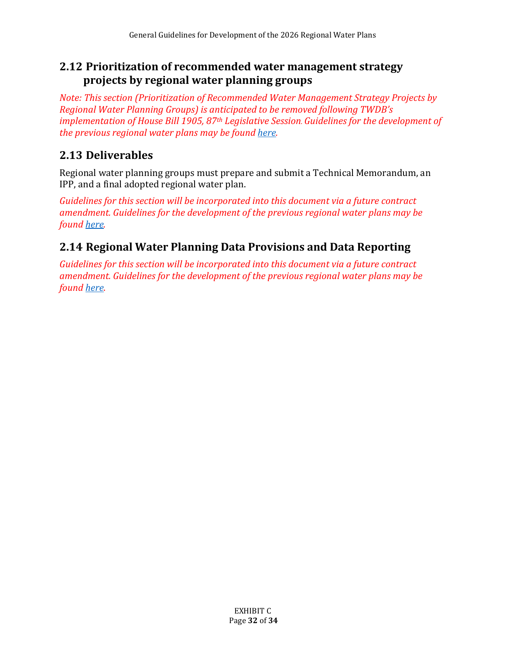### <span id="page-31-0"></span>**2.12 Prioritization of recommended water management strategy projects by regional water planning groups**

*Note: This section (Prioritization of Recommended Water Management Strategy Projects by Regional Water Planning Groups) is anticipated to be removed following TWDB's implementation of House Bill 1905, 87th Legislative Session. Guidelines for the development of the previous regional water plans may be found [here.](http://www.twdb.texas.gov/waterplanning/rwp/planningdocu/2021/doc/current_docs/contract_docs/2ndAmendedExhibitC.pdf#page=68)*

# <span id="page-31-1"></span>**2.13 Deliverables**

Regional water planning groups must prepare and submit a Technical Memorandum, an IPP, and a final adopted regional water plan.

*Guidelines for this section will be incorporated into this document via a future contract amendment. Guidelines for the development of the previous regional water plans may be found [here.](http://www.twdb.texas.gov/waterplanning/rwp/planningdocu/2021/doc/current_docs/contract_docs/2ndAmendedExhibitC.pdf#page=68)*

# <span id="page-31-2"></span>**2.14 Regional Water Planning Data Provisions and Data Reporting**

*Guidelines for this section will be incorporated into this document via a future contract amendment. Guidelines for the development of the previous regional water plans may be found [here](http://www.twdb.texas.gov/waterplanning/rwp/planningdocu/2021/doc/current_docs/contract_docs/2ndAmendedExhibitC.pdf#page=73)*.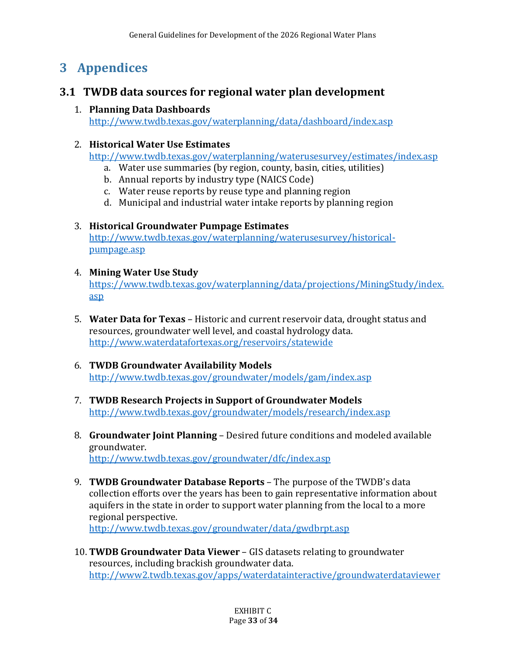# <span id="page-32-0"></span>**3 Appendices**

## <span id="page-32-1"></span>**3.1 TWDB data sources for regional water plan development**

#### 1. **Planning Data Dashboards** <http://www.twdb.texas.gov/waterplanning/data/dashboard/index.asp>

#### 2. **Historical Water Use Estimates**

<http://www.twdb.texas.gov/waterplanning/waterusesurvey/estimates/index.asp>

- a. Water use summaries (by region, county, basin, cities, utilities)
- b. Annual reports by industry type (NAICS Code)
- c. Water reuse reports by reuse type and planning region
- d. Municipal and industrial water intake reports by planning region

#### 3. **Historical Groundwater Pumpage Estimates**

[http://www.twdb.texas.gov/waterplanning/waterusesurvey/historical](http://www.twdb.texas.gov/waterplanning/waterusesurvey/historical-pumpage.asp)[pumpage.asp](http://www.twdb.texas.gov/waterplanning/waterusesurvey/historical-pumpage.asp)

#### 4. **Mining Water Use Study** [https://www.twdb.texas.gov/waterplanning/data/projections/MiningStudy/index.](https://www.twdb.texas.gov/waterplanning/data/projections/MiningStudy/index.asp) [asp](https://www.twdb.texas.gov/waterplanning/data/projections/MiningStudy/index.asp)

5. **Water Data for Texas** – Historic and current reservoir data, drought status and resources, groundwater well level, and coastal hydrology data. <http://www.waterdatafortexas.org/reservoirs/statewide>

#### 6. **TWDB Groundwater Availability Models** <http://www.twdb.texas.gov/groundwater/models/gam/index.asp>

- 7. **TWDB Research Projects in Support of Groundwater Models** <http://www.twdb.texas.gov/groundwater/models/research/index.asp>
- 8. **Groundwater Joint Planning**  Desired future conditions and modeled available groundwater. <http://www.twdb.texas.gov/groundwater/dfc/index.asp>
- 9. **TWDB Groundwater Database Reports** The purpose of the TWDB's data collection efforts over the years has been to gain representative information about aquifers in the state in order to support water planning from the local to a more regional perspective.

<http://www.twdb.texas.gov/groundwater/data/gwdbrpt.asp>

10. **TWDB Groundwater Data Viewer** – GIS datasets relating to groundwater resources, including brackish groundwater data. <http://www2.twdb.texas.gov/apps/waterdatainteractive/groundwaterdataviewer>